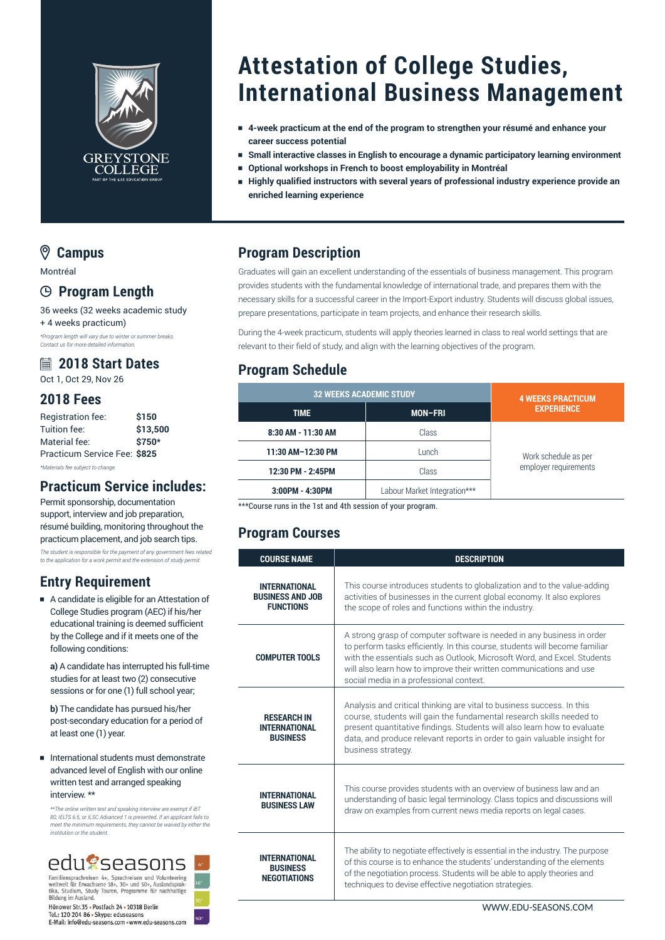

# **Attestation of College Studies, International Business Management**

- <sup>e</sup> **4-week practicum at the end of the program to strengthen your résumé and enhance your career success potential**
- <sup>e</sup> **Small interactive classes in English to encourage a dynamic participatory learning environment**
	- <sup>e</sup> **Optional workshops in French to boost employability in Montréal**
- <sup>e</sup> **Highly qualified instructors with several years of professional industry experience provide an enriched learning experience**

#### **Campus**

Montréal

#### **Program Length**

36 weeks (32 weeks academic study + 4 weeks practicum) *\*Program length will vary due to winter or summer breaks. Contact us for more detailed information.*

#### **2018 Start Dates**

Oct 1, Oct 29, Nov 26

#### **2018 Fees**

| Registration fee:            | \$150    |
|------------------------------|----------|
| Tuition fee:                 | \$13,500 |
| Material fee:                | \$750*   |
| Practicum Service Fee: \$825 |          |
|                              |          |

*\*Materials fee subject to change.*

#### **Practicum Service includes:**

Permit sponsorship, documentation support, interview and job preparation. résumé building, monitoring throughout the practicum placement, and job search tips. *The student is responsible for the payment of any government fees related to the application for a work permit and the extension of study permit.*

#### **Entry Requirement**

<sup>e</sup> A candidate is eligible for an Attestation of College Studies program (AEC) if his/her educational training is deemed sufficient by the College and if it meets one of the following conditions:

**a)** A candidate has interrupted his full-time studies for at least two (2) consecutive sessions or for one (1) full school year;

**b)** The candidate has pursued his/her post-secondary education for a period of at least one (1) year.

#### <sup>e</sup> International students must demonstrate advanced level of English with our online written test and arranged speaking interview. \*\*

*\*\*The online written test and speaking interview are exempt if iBT 80, IELTS 6.5, or ILSC Advanced 1 is presented. If an applicant fails to meet the minimum requirements, they cannot be waived by either the institution or the student.*



Familiensprachreisen 4+, Sprachreisen und Volunteering<br>weltweit für Erwachsene 18+, 30+ und 50+, Auslandsprak-<br>tika, Studium, Study Touren, Programme für nachhaltige Bildung im Ausland.

Hönower Str.35 - Postfach 24 - 10318 Berlin Tel.: 120 204 86 = Skype: eduseasons<br>
E-Mail: info@edu-seasons.com = www.edu-seasons.com

### **Program Description**

Graduates will gain an excellent understanding of the essentials of business management. This program provides students with the fundamental knowledge of international trade, and prepares them with the necessary skills for a successful career in the Import-Export industry. Students will discuss global issues, prepare presentations, participate in team projects, and enhance their research skills.

During the 4-week practicum, students will apply theories learned in class to real world settings that are relevant to their field of study, and align with the learning objectives of the program.

### **Program Schedule**

| <b>32 WEEKS ACADEMIC STUDY</b> |                              | <b>4 WEEKS PRACTICUM</b>                      |
|--------------------------------|------------------------------|-----------------------------------------------|
| <b>TIME</b>                    | <b>MON-FRI</b>               | <b>EXPERIENCE</b>                             |
| 8:30 AM - 11:30 AM             | Class                        | Work schedule as per<br>employer requirements |
| 11:30 AM-12:30 PM              | Lunch                        |                                               |
| 12:30 PM - 2:45PM              | Class                        |                                               |
| 3:00PM - 4:30PM                | Labour Market Integration*** |                                               |

\*\*\*Course runs in the 1st and 4th session of your program.

## **Program Courses**

| <b>COURSE NAME</b>                                                  | <b>DESCRIPTION</b>                                                                                                                                                                                                                                                                                                                                  |
|---------------------------------------------------------------------|-----------------------------------------------------------------------------------------------------------------------------------------------------------------------------------------------------------------------------------------------------------------------------------------------------------------------------------------------------|
| <b>INTERNATIONAL</b><br><b>BUSINESS AND JOB</b><br><b>FUNCTIONS</b> | This course introduces students to globalization and to the value-adding<br>activities of businesses in the current global economy. It also explores<br>the scope of roles and functions within the industry.                                                                                                                                       |
| <b>COMPUTER TOOLS</b>                                               | A strong grasp of computer software is needed in any business in order<br>to perform tasks efficiently. In this course, students will become familiar<br>with the essentials such as Outlook, Microsoft Word, and Excel. Students<br>will also learn how to improve their written communications and use<br>social media in a professional context. |
| <b>RESEARCH IN</b><br><b>INTERNATIONAL</b><br><b>BUSINESS</b>       | Analysis and critical thinking are vital to business success. In this<br>course, students will gain the fundamental research skills needed to<br>present quantitative findings. Students will also learn how to evaluate<br>data, and produce relevant reports in order to gain valuable insight for<br>business strategy.                          |
| <b>INTERNATIONAL</b><br><b>BUSINESS LAW</b>                         | This course provides students with an overview of business law and an<br>understanding of basic legal terminology. Class topics and discussions will<br>draw on examples from current news media reports on legal cases.                                                                                                                            |
| <b>INTERNATIONAL</b><br><b>BUSINESS</b><br><b>NEGOTIATIONS</b>      | The ability to negotiate effectively is essential in the industry. The purpose<br>of this course is to enhance the students' understanding of the elements<br>of the negotiation process. Students will be able to apply theories and<br>techniques to devise effective negotiation strategies.                                                     |

[WWW.EDU-SEASONS.COM](https://edu-seasons.com)